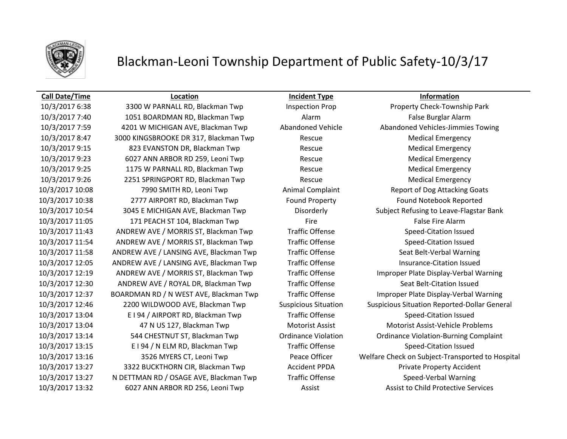

### **Call Date/Time Location Incident Type Information**

10/3/2017 7:40 1051 BOARDMAN RD, Blackman Twp Alarm False Burglar Alarm 10/3/2017 7:59 4201 W MICHIGAN AVE, Blackman Twp Abandoned Vehicle Abandoned Vehicles-Jimmies Towing 10/3/2017 8:47 3000 KINGSBROOKE DR 317, Blackman Twp Rescue Medical Emergency 10/3/2017 9:15 823 EVANSTON DR, Blackman Twp Rescue Medical Emergency 10/3/2017 9:23 6027 ANN ARBOR RD 259, Leoni Twp Rescue Rescue Medical Emergency 10/3/2017 9:25 1175 W PARNALL RD, Blackman Twp Rescue Medical Emergency 10/3/2017 9:26 2251 SPRINGPORT RD, Blackman Twp Rescue Medical Emergency 10/3/2017 10:08 7990 SMITH RD, Leoni Twp Animal Complaint Report of Dog Attacking Goats 10/3/2017 10:38 2777 AIRPORT RD, Blackman Twp Found Property Found Notebook Reported 10/3/2017 10:54 3045 E MICHIGAN AVE, Blackman Twp Disorderly Subject Refusing to Leave-Flagstar Bank 10/3/2017 11:05 171 PEACH ST 104, Blackman Twp Fire Fire Fire False Fire Alarm 10/3/2017 11:43 ANDREW AVE / MORRIS ST, Blackman Twp Traffic Offense Speed-Citation Issued 10/3/2017 11:54 ANDREW AVE / MORRIS ST, Blackman Twp Traffic Offense Speed-Citation Issued 10/3/2017 11:58 ANDREW AVE / LANSING AVE, Blackman Twp Traffic Offense Seat Belt-Verbal Warning 10/3/2017 12:05 ANDREW AVE / LANSING AVE, Blackman Twp Traffic Offense Insurance-Citation Issued 10/3/2017 12:19 ANDREW AVE / MORRIS ST, Blackman Twp Traffic Offense Improper Plate Display-Verbal Warning 10/3/2017 12:30 ANDREW AVE / ROYAL DR, Blackman Twp Traffic Offense Seat Belt-Citation Issued 10/3/2017 12:37 BOARDMAN RD / N WEST AVE, Blackman Twp Traffic Offense Improper Plate Display-Verbal Warning 10/3/2017 13:04 E I 94 / AIRPORT RD, Blackman Twp Traffic Offense Speed-Citation Issued 10/3/2017 13:04 47 N US 127, Blackman Twp Motorist Assist Motorist Assist-Vehicle Problems 10/3/2017 13:14 544 CHESTNUT ST, Blackman Twp Ordinance Violation Ordinance Violation-Burning Complaint 10/3/2017 13:15 E I 94 / N ELM RD, Blackman Twp Traffic Offense Speed-Citation Issued 10/3/2017 13:27 3322 BUCKTHORN CIR, Blackman Twp Accident PPDA Private Property Accident 10/3/2017 13:27 N DETTMAN RD / OSAGE AVE, Blackman Twp Traffic Offense Speed-Verbal Warning 10/3/2017 13:32 6027 ANN ARBOR RD 256, Leoni Twp Assist Assist Assist to Child Protective Services

10/3/2017 6:38 3300 W PARNALL RD, Blackman Twp Inspection Prop Property Check-Township Park 10/3/2017 12:46 2200 WILDWOOD AVE, Blackman Twp Suspicious Situation Suspicious Situation Reported-Dollar General 10/3/2017 13:16 3526 MYERS CT, Leoni Twp Peace Officer Welfare Check on Subject-Transported to Hospital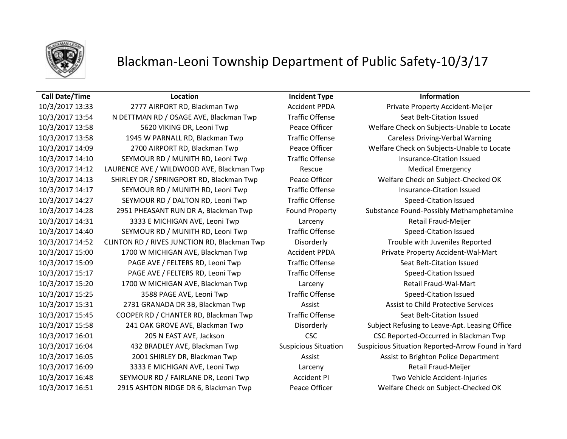

### **Call Date/Time Location Incident Type Information**

10/3/2017 13:33 2777 AIRPORT RD, Blackman Twp Accident PPDA Private Property Accident-Meijer 10/3/2017 13:54 N DETTMAN RD / OSAGE AVE, Blackman Twp Traffic Offense Seat Belt-Citation Issued 10/3/2017 13:58 1945 W PARNALL RD, Blackman Twp Traffic Offense Careless Driving-Verbal Warning 10/3/2017 14:10 SEYMOUR RD / MUNITH RD, Leoni Twp Traffic Offense Insurance-Citation Issued 10/3/2017 14:12 LAURENCE AVE / WILDWOOD AVE, Blackman Twp Rescue Rescue Medical Emergency 10/3/2017 14:13 SHIRLEY DR / SPRINGPORT RD, Blackman Twp Peace Officer Welfare Check on Subject-Checked OK 10/3/2017 14:17 SEYMOUR RD / MUNITH RD, Leoni Twp Traffic Offense Insurance-Citation Issued 10/3/2017 14:27 SEYMOUR RD / DALTON RD, Leoni Twp Traffic Offense Speed-Citation Issued 10/3/2017 14:31 3333 E MICHIGAN AVE, Leoni Twp Larceny Retail Fraud-Meijer 10/3/2017 14:40 SEYMOUR RD / MUNITH RD, Leoni Twp Traffic Offense Speed-Citation Issued 10/3/2017 14:52 CLINTON RD / RIVES JUNCTION RD, Blackman Twp Disorderly Trouble with Juveniles Reported 10/3/2017 15:00 1700 W MICHIGAN AVE, Blackman Twp Accident PPDA Private Property Accident-Wal-Mart 10/3/2017 15:09 PAGE AVE / FELTERS RD, Leoni Twp Traffic Offense Seat Belt-Citation Issued 10/3/2017 15:17 PAGE AVE / FELTERS RD, Leoni Twp Traffic Offense Speed-Citation Issued 10/3/2017 15:20 1700 W MICHIGAN AVE, Blackman Twp Larceny Retail Fraud-Wal-Mart 10/3/2017 15:25 3588 PAGE AVE, Leoni Twp Traffic Offense Speed-Citation Issued 10/3/2017 15:31 2731 GRANADA DR 3B, Blackman Twp **Assist Assist Assist Assist to Child Protective Services** 10/3/2017 15:45 COOPER RD / CHANTER RD, Blackman Twp Traffic Offense Seat Belt-Citation Issued 10/3/2017 16:01 205 N EAST AVE, Jackson CSC CSC Reported-Occurred in Blackman Twp 10/3/2017 16:05 2001 SHIRLEY DR, Blackman Twp Assist Assist Assist Assist to Brighton Police Department 10/3/2017 16:09 3333 E MICHIGAN AVE, Leoni Twp Larceny Retail Fraud-Meijer 10/3/2017 16:48 SEYMOUR RD / FAIRLANE DR, Leoni Twp Accident PI Two Vehicle Accident-Injuries 10/3/2017 16:51 2915 ASHTON RIDGE DR 6, Blackman Twp Peace Officer Welfare Check on Subject-Checked OK

10/3/2017 13:58 5620 VIKING DR, Leoni Twp Peace Officer Welfare Check on Subjects-Unable to Locate 10/3/2017 14:09 2700 AIRPORT RD, Blackman Twp Peace Officer Welfare Check on Subjects-Unable to Locate 10/3/2017 14:28 2951 PHEASANT RUN DR A, Blackman Twp Found Property Substance Found-Possibly Methamphetamine 10/3/2017 15:58 241 OAK GROVE AVE, Blackman Twp Disorderly Subject Refusing to Leave-Apt. Leasing Office 10/3/2017 16:04 432 BRADLEY AVE, Blackman Twp Suspicious Situation Suspicious Situation Reported-Arrow Found in Yard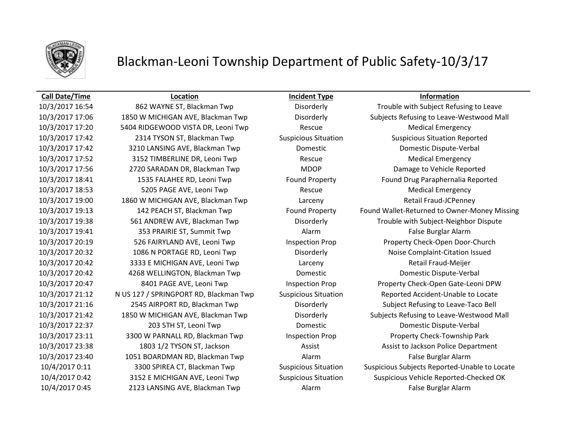

### **Call Date/Time Location Incident Type Information**

10/3/2017 17:20 5404 RIDGEWOOD VISTA DR, Leoni Twp Rescue Rescue Medical Emergency 10/3/2017 17:42 2314 TYSON ST, Blackman Twp Suspicious Situation Suspicious Situation Reported 10/3/2017 17:42 3210 LANSING AVE, Blackman Twp Domestic Domestic Dispute-Verbal 10/3/2017 17:52 3152 TIMBERLINE DR, Leoni Twp Rescue Rescue Medical Emergency 10/3/2017 17:56 2720 SARADAN DR, Blackman Twp MDOP Damage to Vehicle Reported 10/3/2017 18:41 1535 FALAHEE RD, Leoni Twp Found Property Found Drug Paraphernalia Reported 10/3/2017 18:53 5205 PAGE AVE, Leoni Twp Rescue Rescue Medical Emergency 10/3/2017 19:00 1860 W MICHIGAN AVE, Blackman Twp Larceny Retail Fraud-JCPenney 10/3/2017 19:41 353 PRAIRIE ST, Summit Twp Alarm Alarm Alarm False Burglar Alarm 10/3/2017 20:19 526 FAIRYLAND AVE, Leoni Twp Inspection Prop Property Check-Open Door-Church 10/3/2017 20:32 1086 N PORTAGE RD, Leoni Twp Disorderly Noise Complaint-Citation Issued 10/3/2017 20:42 3333 E MICHIGAN AVE, Leoni Twp Larceny Retail Fraud-Meijer 10/3/2017 20:42 4268 WELLINGTON, Blackman Twp Domestic Domestic Dispute-Verbal 10/3/2017 21:12 N US 127 / SPRINGPORT RD, Blackman Twp Suspicious Situation Reported Accident-Unable to Locate 10/3/2017 21:16 2545 AIRPORT RD, Blackman Twp Disorderly Subject Refusing to Leave-Taco Bell 10/3/2017 22:37 203 5TH ST, Leoni Twp Domestic Domestic Dispute-Verbal 10/3/2017 23:11 3300 W PARNALL RD, Blackman Twp Inspection Prop Property Check-Township Park 10/3/2017 23:38 1803 1/2 TYSON ST, Jackson Assist Assist to Jackson Police Department 10/3/2017 23:40 1051 BOARDMAN RD, Blackman Twp Alarm False Burglar Alarm 10/4/2017 0:45 2123 LANSING AVE, Blackman Twp Alarm False Burglar Alarm

10/3/2017 16:54 862 WAYNE ST, Blackman Twp Disorderly Trouble with Subject Refusing to Leave 10/3/2017 17:06 1850 W MICHIGAN AVE, Blackman Twp Disorderly Subjects Refusing to Leave-Westwood Mall 10/3/2017 19:13 142 PEACH ST, Blackman Twp Found Property Found Wallet-Returned to Owner-Money Missing 10/3/2017 19:38 561 ANDREW AVE, Blackman Twp Disorderly Trouble with Subject-Neighbor Dispute 10/3/2017 20:47 8401 PAGE AVE, Leoni Twp Inspection Prop Property Check-Open Gate-Leoni DPW 10/3/2017 21:42 1850 W MICHIGAN AVE, Blackman Twp Disorderly Subjects Refusing to Leave-Westwood Mall 10/4/2017 0:11 3300 SPIREA CT, Blackman Twp Suspicious Situation Suspicious Subjects Reported-Unable to Locate 10/4/2017 0:42 3152 E MICHIGAN AVE, Leoni Twp Suspicious Situation Suspicious Vehicle Reported-Checked OK